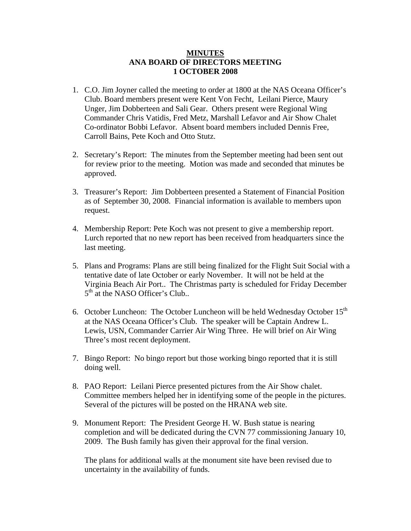## **MINUTES ANA BOARD OF DIRECTORS MEETING 1 OCTOBER 2008**

- 1. C.O. Jim Joyner called the meeting to order at 1800 at the NAS Oceana Officer's Club. Board members present were Kent Von Fecht, Leilani Pierce, Maury Unger, Jim Dobberteen and Sali Gear. Others present were Regional Wing Commander Chris Vatidis, Fred Metz, Marshall Lefavor and Air Show Chalet Co-ordinator Bobbi Lefavor. Absent board members included Dennis Free, Carroll Bains, Pete Koch and Otto Stutz.
- 2. Secretary's Report: The minutes from the September meeting had been sent out for review prior to the meeting. Motion was made and seconded that minutes be approved.
- 3. Treasurer's Report: Jim Dobberteen presented a Statement of Financial Position as of September 30, 2008. Financial information is available to members upon request.
- 4. Membership Report: Pete Koch was not present to give a membership report. Lurch reported that no new report has been received from headquarters since the last meeting.
- 5. Plans and Programs: Plans are still being finalized for the Flight Suit Social with a tentative date of late October or early November. It will not be held at the Virginia Beach Air Port.. The Christmas party is scheduled for Friday December  $5<sup>th</sup>$  at the NASO Officer's Club..
- 6. October Luncheon: The October Luncheon will be held Wednesday October 15<sup>th</sup> at the NAS Oceana Officer's Club. The speaker will be Captain Andrew L. Lewis, USN, Commander Carrier Air Wing Three. He will brief on Air Wing Three's most recent deployment.
- 7. Bingo Report: No bingo report but those working bingo reported that it is still doing well.
- 8. PAO Report: Leilani Pierce presented pictures from the Air Show chalet. Committee members helped her in identifying some of the people in the pictures. Several of the pictures will be posted on the HRANA web site.
- 9. Monument Report: The President George H. W. Bush statue is nearing completion and will be dedicated during the CVN 77 commissioning January 10, 2009. The Bush family has given their approval for the final version.

The plans for additional walls at the monument site have been revised due to uncertainty in the availability of funds.